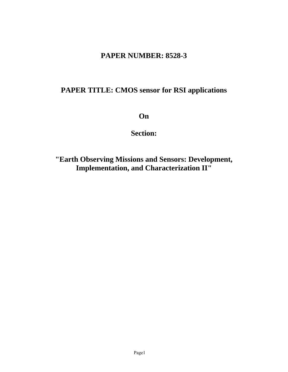# **PAPER NUMBER: 8528-3**

# **PAPER TITLE: CMOS sensor for RSI applications**

**On** 

**Section:** 

**"Earth Observing Missions and Sensors: Development, Implementation, and Characterization II"**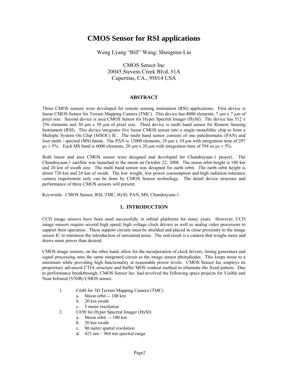# **CMOS Sensor for RSI applications**

Weng Lyang "Bill" Wang; Shengmin Lin

CMOS Sensor Inc 20045 Stevens Creek Blvd, #1A Cupertino, CA., 95014 USA

### **ABSTRACT**

Three CMOS sensors were developed for remote sensing instrument (RSI) applications. First device is linear CMOS Sensor for Terrain Mapping Camera (TMC). This device has 4000 elements,  $7 \mu m \times 7 \mu m$  of pixel size. Second device is area CMOS Sensor for Hyper Spectral Imager (HySI). The device has 512 x 256 elements and 50 µm x 50 µm of pixel size. Third device is multi band sensor for Remote Sensing Instrument (RSI). This device integrates five linear CMOS sensor into a single monolithic chip to form a Multiple System On Chip (MSOC) IC. The multi band sensor consists of one panchromatic (PAN) and four multi - spectral (MS) bands. The PAN is 12000 elements, 10 µm x 10 µm with integration time of 297  $\mu$ s  $\pm$  5%. Each MS band is 6000 elements, 20  $\mu$ m x 20  $\mu$ m with integration time of 594 us  $\mu$ s  $\pm$  5%.

Both linear and area CMOS sensor were designed and developed for Chandrayaan-1 project. The Chandrayaan-1 satellite was launched to the moon on October 22, 2008. The moon orbit height is 100 km and 20 km of swath size. The multi band sensor was designed for earth orbit. The earth orbit height is about 720 km and 24 km of swath. The low weight, low power consumption and high radiation tolerance camera requirement only can be done by CMOS Sensor technology. The detail device structure and performance of three CMOS sensors will present.

Keywords: CMOS Sensor, RSI, TMC, HySI, PAN, MS, Chandrayaan-1

# **1. INTRODUCTION**

CCD image sensors have been used successfully in orbital platforms for many years. However, CCD image sensors require several high speed, high voltage clock drivers as well as analog video processors to support their operation. These support circuits must be shielded and placed in close proximity to the image sensor IC to minimize the introduction of unwanted noise. The end result is a camera that weighs more and draws more power than desired.

CMOS image sensors, on the other hand, allow for the incorporation of clock drivers, timing generators and signal processing onto the same integrated circuit as the image sensor photodiodes. This keeps noise to a minimum while providing high functionality at reasonable power levels. CMOS Sensor Inc employs its proprietary advanced CTIA structure and buffer MOS readout method to eliminate the fixed pattern. Due to performance breakthrough, CMOS Sensor Inc. had involved the following space projects for Visible and Near Infrared (VNIR) CMOS sensor.

- 1. C640 for 3D Terrain Mapping Camera (TMC)
	- a. Moon orbit -- 100 km
	- b. 20 km swath
	- c. 5 meter resolution
- 2. C650 for Hyper Spectral Imager (HySI)
	- a. Moon orbit -- 100 km
	- b. 20 km swath
	- c. 80 meter spatial resolution
	- d. 421 nm  $\sim$  964 nm spectral range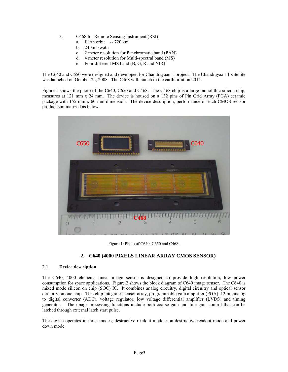- 3. C468 for Remote Sensing Instrument (RSI)
	- a. Earth orbit -- 720 km
	- b. 24 km swath
	- c. 2 meter resolution for Panchromatic band (PAN)
	- d. 4 meter resolution for Multi-spectral band (MS)
	- e. Four different MS band (B, G, R and NIR)

The C640 and C650 were designed and developed for Chandrayaan-1 project. The Chandrayaan-1 satellite was launched on October 22, 2008. The C468 will launch to the earth orbit on 2014.

Figure 1 shows the photo of the C640, C650 and C468. The C468 chip is a large monolithic silicon chip, measures at 121 mm x 24 mm. The device is housed on a 132 pins of Pin Grid Array (PGA) ceramic package with 155 mm x 60 mm dimension. The device description, performance of each CMOS Sensor product summarized as below.



Figure 1: Photo of C640, C650 and C468.

# **2. C640 (4000 PIXELS LINEAR ARRAY CMOS SENSOR)**

# **2.1 Device description**

The C640, 4000 elements linear image sensor is designed to provide high resolution, low power consumption for space applications. Figure 2 shows the block diagram of C640 image sensor. The C640 is mixed mode silicon on chip (SOC) IC. It combines analog circuitry, digital circuitry and optical sensor circuitry on one chip. This chip integrates sensor array, programmable gain amplifier (PGA), 12 bit analog to digital converter (ADC), voltage regulator, low voltage differential amplifier (LVDS) and timing generator. The image processing functions include both coarse gain and fine gain control that can be latched through external latch start pulse.

The device operates in three modes; destructive readout mode, non-destructive readout mode and power down mode: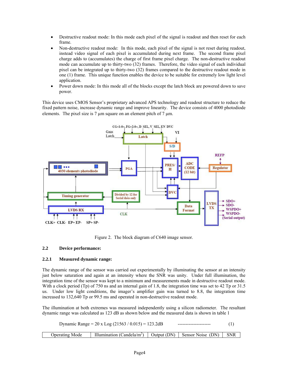- Destructive readout mode: In this mode each pixel of the signal is readout and then reset for each frame.
- Non-destructive readout mode: In this mode, each pixel of the signal is not reset during readout, instead video signal of each pixel is accumulated during next frame. The second frame pixel charge adds to (accumulates) the charge of first frame pixel charge. The non-destructive readout mode can accumulate up to thirty-two (32) frames. Therefore, the video signal of each individual pixel can be integrated up to thirty-two (32) frames compared to the destructive readout mode in one (1) frame. This unique function enables the device to be suitable for extremely low light level application.
- Power down mode: In this mode all of the blocks except the latch block are powered down to save power.

This device uses CMOS Sensor's proprietary advanced APS technology and readout structure to reduce the fixed pattern noise, increase dynamic range and improve linearity. The device consists of 4000 photodiode elements. The pixel size is  $7 \mu m$  square on an element pitch of  $7 \mu m$ .



Figure 2. The block diagram of C640 image sensor.

# **2.2 Device performance:**

# **2.2.1 Measured dynamic range:**

The dynamic range of the sensor was carried out experimentally by illuminating the sensor at an intensity just below saturation and again at an intensity where the SNR was unity. Under full illumination, the integration time of the sensor was kept to a minimum and measurements made in destructive readout mode. With a clock period (Tp) of 750 ns and an internal gain of 1.8, the integration time was set to 42 Tp or 31.5 us. Under low light conditions, the imager's amplifier gain was turned to 8.8, the integration time increased to 132,640 Tp or 99.5 ms and operated in non-destructive readout mode.

The illumination at both extremes was measured independently using a silicon radiometer. The resultant dynamic range was calculated as 123 dB as shown below and the measured data is shown in table 1

| Dynamic Range = $20 \times Log (21563 / 0.015) = 123.2dB$ |                                                                                |  |  |
|-----------------------------------------------------------|--------------------------------------------------------------------------------|--|--|
| <b>Operating Mode</b>                                     | Illumination (Candela/m <sup>2</sup> )   Output (DN)   Sensor Noise (DN)   SNR |  |  |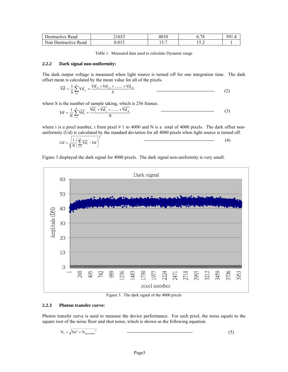| Destructive Read     | 4100- | 4010                       | 7C<br>.    | 501 |
|----------------------|-------|----------------------------|------------|-----|
| Non Destructive Read |       | - -<br>$\cdot \cdot \cdot$ | . <u>.</u> |     |

Table 1. Measured data used to calculate Dynamic range

#### **2.2.2 Dark signal non-uniformity:**

The dark output voltage is measured when light source is turned off for one integration time. The dark offset mean is calculated by the mean value for all of the pixels.

$$
\overline{Vd} = \frac{1}{S} \sum_{i=1}^{S} Vd_{si} = \frac{Vd_{si} + Vd_{s2} + \dots + Vd_{ss}}{S}
$$
\n1.127

where S is the number of sample taking, which is 256 frames.

$$
Vd = \frac{1}{N} \sum_{i=1}^{N} \overline{Vd_i} = \frac{\overline{Vd_1} + \overline{Vd_2} + \dots + \overline{Vd_N}}{N}
$$

where i is a pixel number, i from pixel  $# 1$  to 4000 and N is a total of 4000 pixels. The dark offset nonuniformity (Ud) is calculated by the standard deviation for all 4000 pixels when light source is turned off. 2

$$
Ud = \sqrt{\frac{1}{N} \left( \sum_{i=1}^{N} \overline{Vd_i} - Vd \right)^2}
$$
 (4)

Figure 3 displayed the dark signal for 4000 pixels. The dark signal non-uniformity is very small.



Figure 3. The dark signal of the 4000 pixels

### **2.2.3 Photon transfer curve:**

Photon transfer curve is used to measure the device performance. For each pixel, the noise equals to the square root of the noise floor and shot noise, which is shown as the following equation.

$$
N_{t} = \sqrt{Ns^{2} + N_{noise floor}^{2}}
$$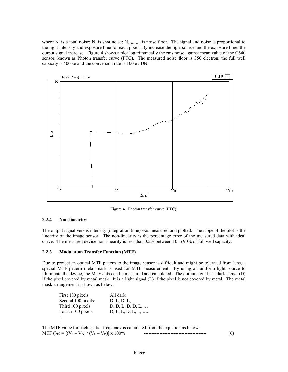where  $N_t$  is a total noise;  $N_s$  is shot noise;  $N_{noise}$  is noise floor. The signal and noise is proportional to the light intensity and exposure time for each pixel. By increase the light source and the exposure time, the output signal increase. Figure 4 shows a plot logarithmically the rms noise against mean value of the C640 sensor, known as Photon transfer curve (PTC). The measured noise floor is 350 electron; the full well capacity is 400 ke and the conversion rate is 100 e / DN.



Figure 4. Photon transfer curve (PTC).

# **2.2.4 Non-linearity:**

The output signal versus intensity (integration time) was measured and plotted. The slope of the plot is the linearity of the image sensor. The non-linearity is the percentage error of the measured data with ideal curve. The measured device non-linearity is less than 0.5% between 10 to 90% of full well capacity.

# **2.2.5 Modulation Transfer Function (MTF)**

Due to project an optical MTF pattern to the image sensor is difficult and might be tolerated from lens, a special MTF pattern metal mask is used for MTF measurement. By using an uniform light source to illuminate the device, the MTF data can be measured and calculated. The output signal is a dark signal (D) if the pixel covered by metal mask. It is a light signal (L) if the pixel is not covered by metal. The metal mask arrangement is shown as below.

First 100 pixels: All dark<br>Second 100 pixels: D, L, D, L, ... Second 100 pixels: Third 100 pixels: D, D, L, D, D, L, ... Fourth 100 pixels: D, L, L, D, L, L, .... : : The MTF value for each spatial frequency is calculated from the equation as below. MTF (%) = [(VL – VD) / (VL – VD)] x 100% ---------------------------------------- (6)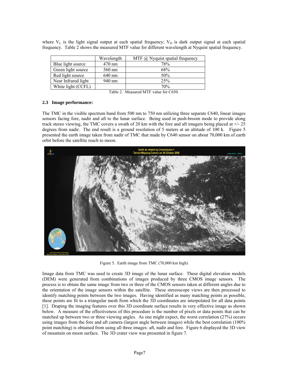|                     | Wavelength       | MTF $\omega$ Nyquist spatial frequency |
|---------------------|------------------|----------------------------------------|
| Blue light source   | $470 \text{ nm}$ | 78%                                    |
| Green light source  | 560 nm           | 68%                                    |
| Red light source    | 640 nm           | 50%                                    |
| Near Infrared light | 940 nm           | 25%                                    |
| White light (CCFL)  |                  | 70%                                    |

where  $V<sub>L</sub>$  is the light signal output at each spatial frequency;  $V<sub>D</sub>$  is dark output signal at each spatial frequency. Table 2 shows the measured MTF value for different wavelength at Nyquist spatial frequency.

### **2.3 Image performance:**

The TMC in the visible spectrum band from 500 nm to 750 nm utilizing three separate C640, linear images sensors facing fore, nadir and aft to the lunar surface. Being used in push-broom mode to provide along track stereo viewing, the TMC covers a swath of 20 km with the fore and aft imagers being placed at  $+/-25$ degrees from nadir. The end result is a ground resolution of 5 meters at an altitude of 100 k. Figure 5 presented the earth image taken from nadir of TMC that made by C640 sensor on about 70,000 km of earth orbit before the satellite reach to moon.



Figure 5. Earth image from TMC (70,000 km high)

Image data from TMC was used to create 3D image of the lunar surface. These digital elevation models (DEM) were generated from combinations of images produced by three CMOS image sensors. The process is to obtain the same image from two or three of the CMOS sensors taken at different angles due to the orientation of the image sensors within the satellite. These stereoscope views are then processed to identify matching points between the two images. Having identified as many matching points as possible, these points are fit to a triangular mesh from which the 3D coordinates are interpolated for all data points [1]. Draping the imaging features over this 3D coordinate surface results in very effective image as shown below. A measure of the effectiveness of this procedure is the number of pixels or data points that can be matched up between two or three viewing angles. As one might expect, the worst correlation (27%) occurs using images from the fore and aft camera (largest angle between images) while the best correlation (100% point matching) is obtained from using all three images: aft, nadir and fore. Figure 6 displayed the 3D view of mountain on moon surface. The 3D crater view was presented in figure 7.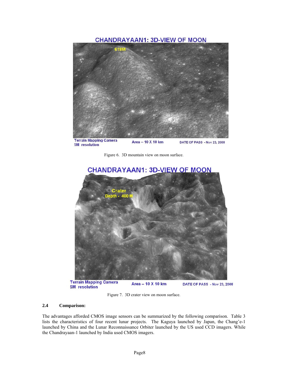# **CHANDRAYAAN1: 3D-VIEW OF MOON**



**Terrain Mapping Camera**<br>5M resolution Area - 10 X 10 km DATE OF PASS - Nov 23, 2008





Area - 10 X 10 km **5M** resolution

Figure 7. 3D crater view on moon surface.

# **2.4 Comparison:**

The advantages afforded CMOS image sensors can be summarized by the following comparison. Table 3 lists the characteristics of four recent lunar projects. The Kaguya launched by Japan, the Chang'e-1 launched by China and the Lunar Reconnaissance Orbiter launched by the US used CCD imagers. While the Chandrayaan-1 launched by India used CMOS imagers.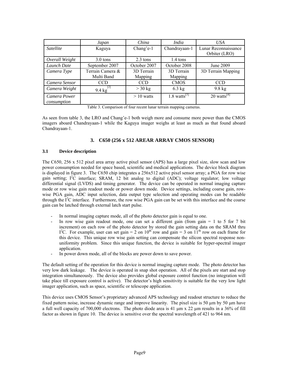|                  | Japan                  | China        | India                     | USA                       |
|------------------|------------------------|--------------|---------------------------|---------------------------|
| <i>Satellite</i> | Kaguya                 | Chang'e-1    | Chandrayaan-1             | Lunar Reconnaissance      |
|                  |                        |              |                           | Orbiter (LRO)             |
| Overall Weight   | $3.0 \text{ tons}$     | $2.3$ tons   | 1.4 tons                  |                           |
| Launch Date      | September 2007         | October 2007 | October 2008              | June 2009                 |
| Camera Type      | Terrain Camera &       | 3D Terrain   | 3D Terrain                | 3D Terrain Mapping        |
|                  | Multi Band             | Mapping      | Mapping                   |                           |
| Camera Sensor    | CCD                    | <b>CCD</b>   | <b>CMOS</b>               | CCD                       |
| Camera Weight    | 2 <br>$9.4 \text{ kg}$ | $>$ 30 kg    | $6.3$ kg                  | $9.8 \text{ kg}$          |
| Camera Power     |                        | $>10$ watts  | $1.8 \text{ watts}^{[3]}$ | $20$ watts <sup>[4]</sup> |
| consumption      |                        |              |                           |                           |

Table 3. Comparison of four recent lunar terrain mapping cameras.

As seen from table 3, the LRO and Chang'e-1 both weigh more and consume more power than the CMOS imagers aboard Chandrayaan-1 while the Kaguya imager weighs at least as much as that found aboard Chandrayaan-1.

# **3. C650 (256 x 512 AREAR ARRAY CMOS SENSOR)**

# **3.1 Device description**

The C650, 256 x 512 pixel area array active pixel sensor (APS) has a large pixel size, slow scan and low power consumption needed for space based, scientific and medical applications. The device block diagram is displayed in figure 3. The C650 chip integrates a 256x512 active pixel sensor array; a PGA for row wise gain setting;  $I^2C$  interface; SRAM, 12 bit analog to digital (ADC); voltage regulator; low voltage differential signal (LVDS) and timing generator. The device can be operated in normal imaging capture mode or row wise gain readout mode or power down mode. Device settings, including coarse gain, rowwise PGA gain, ADC input selection, data output type selection and operating modes can be readable through the  $I<sup>2</sup>C$  interface. Furthermore, the row wise PGA gain can be set with this interface and the coarse gain can be latched through external latch start pulse.

- In normal imaging capture mode, all of the photo detector gain is equal to one.
- In row wise gain readout mode, one can set a different gain (from gain  $= 1$  to 5 for 7 bit increment) on each row of the photo detector by stored the gain setting data on the SRAM thru I<sup>2</sup>C. For example, user can set gain = 2 on 10<sup>th</sup> row and gain = 3 on 11<sup>th</sup> row on each frame for this device. This unique row wise gain setting can compensate the silicon spectral response nonuniformity problem. Since this unique function, the device is suitable for hyper-spectral imager application.
- In power down mode, all of the blocks are power down to save power.

The default setting of the operation for this device is normal imaging capture mode. The photo detector has very low dark leakage. The device is operated in snap shot operation. All of the pixels are start and stop integration simultaneously. The device also provides global exposure control function (no integration will take place till exposure control is active). The detector's high sensitivity is suitable for the very low light imager application, such as space, scientific or telescope application.

This device uses CMOS Sensor's proprietary advanced APS technology and readout structure to reduce the fixed pattern noise, increase dynamic range and improve linearity. The pixel size is 50  $\mu$ m by 50  $\mu$ m have a full well capacity of 700,000 electrons. The photo diode area is 41  $\mu$ m x 22  $\mu$ m results in a 36% of fill factor as shown in figure 10. The device is sensitive over the spectral wavelength of 421 to 964 nm.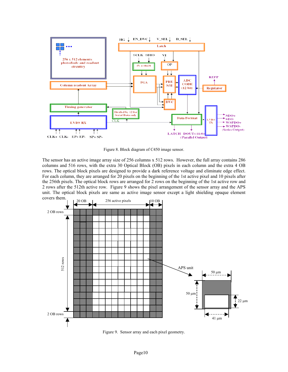

Figure 8. Block diagram of C450 image sensor.

The sensor has an active image array size of 256 columns x 512 rows. However, the full array contains 286 columns and 516 rows, with the extra 30 Optical Block (OB) pixels in each column and the extra 4 OB rows. The optical block pixels are designed to provide a dark reference voltage and eliminate edge effect. For each column, they are arranged for 20 pixels on the beginning of the 1st active pixel and 10 pixels after the 256th pixels. The optical block rows are arranged for 2 rows on the beginning of the 1st active row and 2 rows after the 512th active row. Figure 9 shows the pixel arrangement of the sensor array and the APS unit. The optical block pixels are same as active image sensor except a light shielding opaque element covers them.



Figure 9. Sensor array and each pixel geometry.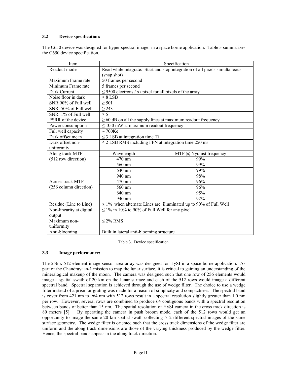# **3.2 Device specification:**

The C650 device was designed for hyper spectral imager in a space borne application. Table 3 summarizes the C650 device specification.

| Item                     | Specification                                                               |                                                                   |  |  |  |
|--------------------------|-----------------------------------------------------------------------------|-------------------------------------------------------------------|--|--|--|
| Readout mode             | Read while integrate: Start and stop integration of all pixels simultaneous |                                                                   |  |  |  |
|                          | (snap shot)                                                                 |                                                                   |  |  |  |
| Maximum Frame rate       | 50 frames per second                                                        |                                                                   |  |  |  |
| Minimum Frame rate       | 5 frames per second                                                         |                                                                   |  |  |  |
| Dark Current             |                                                                             | $\leq$ 9500 electrons / s / pixel for all pixels of the array     |  |  |  |
| Noise floor in dark      | $\leq 8$ LSB                                                                |                                                                   |  |  |  |
| SNR:90% of Full well     | $\geq 501$                                                                  |                                                                   |  |  |  |
| SNR: 50% of Full well    | $\geq$ 243                                                                  |                                                                   |  |  |  |
| SNR: 1% of Full well     | $\geq$ 5                                                                    |                                                                   |  |  |  |
| PSRR of the device       |                                                                             | $\geq$ 60 dB on all the supply lines at maximum readout frequency |  |  |  |
| Power consumption        | $\leq$ 350 mW at maximum readout frequency                                  |                                                                   |  |  |  |
| Full well capacity       | $\sim$ 700Ke                                                                |                                                                   |  |  |  |
| Dark offset mean         | $\leq$ 3 LSB at integration time Ti                                         |                                                                   |  |  |  |
| Dark offset non-         | $\leq$ 2 LSB RMS including FPN at integration time 250 ms                   |                                                                   |  |  |  |
| uniformity               |                                                                             |                                                                   |  |  |  |
| Along track MTF          | MTF @ Nyquist frequency<br>Wavelength                                       |                                                                   |  |  |  |
| (512 row direction)      | 99%<br>470 nm                                                               |                                                                   |  |  |  |
|                          | 560 nm                                                                      | 99%                                                               |  |  |  |
|                          | 640 nm                                                                      | 99%                                                               |  |  |  |
|                          | 940 nm                                                                      | 98%                                                               |  |  |  |
| <b>Across track MTF</b>  | $470 \text{ nm}$                                                            | 96%                                                               |  |  |  |
| (256 column direction)   | 96%<br>560 nm                                                               |                                                                   |  |  |  |
|                          | 95%<br>$640 \text{ nm}$                                                     |                                                                   |  |  |  |
|                          | 940 nm                                                                      | 92%                                                               |  |  |  |
| Residue (Line to Line)   | $\leq$ 1% when alternate Lines are illuminated up to 90% of Full Well       |                                                                   |  |  |  |
| Non-linearity at digital | $\leq$ 1% in 10% to 90% of Full Well for any pixel                          |                                                                   |  |  |  |
| output                   |                                                                             |                                                                   |  |  |  |
| Maximum non-             | $\leq$ 2% RMS                                                               |                                                                   |  |  |  |
| uniformity               |                                                                             |                                                                   |  |  |  |
| Anti-blooming            | Built in lateral anti-blooming structure                                    |                                                                   |  |  |  |

Table 3. Device specification.

# **3.3 Image performance:**

The 256 x 512 element image sensor area array was designed for HySI in a space borne application. As part of the Chandrayaan-1 mission to map the lunar surface, it is critical to gaining an understanding of the mineralogical makeup of the moon. The camera was designed such that one row of 256 elements would image a spatial swath of 20 km on the lunar surface and each of the 512 rows would image a different spectral band. Spectral separation is achieved through the use of wedge filter. The choice to use a wedge filter instead of a prism or grating was made for a reason of simplicity and compactness. The spectral band is cover from 421 nm to 964 nm with 512 rows result in a spectral resolution slightly greater than 1.0 nm per row. However, several rows are combined to produce 64 contiguous bands with a spectral resolution between bands of better than 15 nm. The spatial resolution of HySI camera in the cross track direction is 80 meters [5]. By operating the camera in push broom mode, each of the 512 rows would get an opportunity to image the same 20 km spatial swath collecting 512 different spectral images of the same surface geometry. The wedge filter is oriented such that the cross track dimensions of the wedge filter are uniform and the along track dimensions are those of the varying thickness produced by the wedge filter. Hence, the spectral bands appear in the along track direction.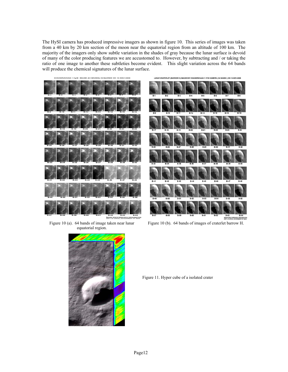The HySI camera has produced impressive imagers as shown in figure 10. This series of images was taken from a 40 km by 20 km section of the moon near the equatorial region from an altitude of 100 km. The majority of the imagers only show subtle variation in the shades of gray because the lunar surface is devoid of many of the color producing features we are accustomed to. However, by subtracting and / or taking the ratio of one image to another these subtleties become evident. This slight variation across the 64 bands will produce the chemical signatures of the lunar surface.





Figure 10 (b). 64 bands of images of craterlet barrow H.



Figure 10 (a). 64 bands of image taken near lunar equatorial region.

Figure 11. Hyper cube of a isolated crater



**INDIAN SPACE RESEARCH ORGANISATION**<br>DEPT, OF SPACE, GOVERNMENT OF INDIA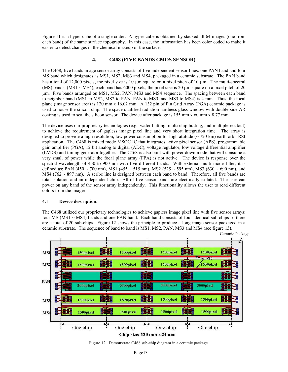Figure 11 is a hyper cube of a single crater. A hyper cube is obtained by stacked all 64 images (one from each band) of the same surface topography. In this case, the information has been color coded to make it easier to detect changes in the chemical makeup of the surface.

# **4. C468 (FIVE BANDS CMOS SENSOR)**

The C468, five bands image sensor array consists of five independent sensor lines: one PAN band and four MS band which designates as MS1, MS2, MS3 and MS4, packaged in a ceramic substrate. The PAN band has a total of 12,000 pixels, the pixel size is 10  $\mu$ m square on a pixel pitch of 10  $\mu$ m. The multi-spectral (MS) bands, (MS1  $\sim$  MS4), each band has 6000 pixels, the pixel size is 20  $\mu$ m square on a pixel pitch of 20 m. Five bands arranged on MS1, MS2, PAN, MS3 and MS4 sequence. The spacing between each band to neighbor band (MS1 to MS2, MS2 to PAN, PAN to MS3, and MS3 to MS4) is 4 mm. Thus, the focal plane (image sensor area) is 120 mm x 16.02 mm. A 132 pin of Pin Grid Array (PGA) ceramic package is used to house the silicon chip. The space qualified radiation hardness glass window with double side AR coating is used to seal the silicon sensor. The device after package is 155 mm x 60 mm x 8.77 mm.

The device uses our proprietary technologies (e.g., wafer butting, multi chip butting, and multiple readout) to achieve the requirement of gapless image pixel line and very short integration time. The array is designed to provide a high resolution, low power consumption for high attitude ( $\sim$  720 km) earth orbit RSI application. The C468 is mixed mode MSOC IC that integrates active pixel sensor (APS), programmable gain amplifier (PGA), 12 bit analog to digital (ADC), voltage regulator, low voltage differential amplifier (LVDS) and timing generator together. The C468 is also built with power down mode that will consume a very small of power while the focal plane array (FPA) is not active. The device is response over the spectral wavelength of 450 to 900 nm with five different bands. With external multi mode filter, it is defined as: PAN (450 ~ 700 nm), MS1 (455 ~ 515 nm), MS2 (525 ~ 595 nm), MS3 (630 ~ 690 nm), and MS4 (762  $\sim$  897 nm). A scribe line is designed between each band to band. Therefore, all five bands are total isolation and an independent chip. All of five sensor bands are electrically isolated. The user can power on any band of the sensor array independently. This functionality allows the user to read different colors from the imager.

# **4.1 Device description:**

The C468 utilized our proprietary technologies to achieve gapless image pixel line with five sensor arrays: four MS ( $MS1 \sim MS4$ ) bands and one PAN band. Each band consists of four identical sub-chips so there are a total of 20 sub-chips. Figure 12 shows the principle to produce a long image sensor packaged in a ceramic substrate. The sequence of band to band is MS1, MS2, PAN, MS3 and MS4 (see figure 13).



Figure 12. Demonstrate C468 sub-chip diagram in a ceramic package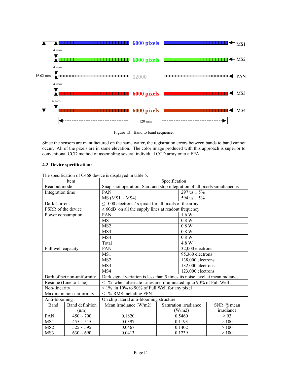

Figure 13. Band to band sequence.

Since the sensors are manufactured on the same wafer, the registration errors between bands to band cannot occur. All of the pixels are in same elevation. The color image produced with this approach is superior to conventional CCD method of assembling several individual CCD array onto a FPA.

# **4.2 Device specification:**

|                    | Item                       | Specification                                                                |                       |                   |                   |  |  |
|--------------------|----------------------------|------------------------------------------------------------------------------|-----------------------|-------------------|-------------------|--|--|
| Readout mode       |                            | Snap shot operation; Start and stop integration of all pixels simultaneous   |                       |                   |                   |  |  |
| Integration time   |                            | <b>PAN</b>                                                                   |                       | 297 us $\pm$ 5%   |                   |  |  |
|                    |                            | $MS(MS1 \sim MS4)$                                                           |                       | 594 us $\pm$ 5%   |                   |  |  |
| Dark Current       |                            | $\leq$ 1000 electrons / s /pixel for all pixels of the array                 |                       |                   |                   |  |  |
| PSRR of the device |                            | $\geq$ 60dB on all the supply lines at readout frequency                     |                       |                   |                   |  |  |
| Power consumption  |                            | <b>PAN</b>                                                                   |                       | 1.6 W             |                   |  |  |
|                    |                            | MS1                                                                          |                       | 0.8 W             |                   |  |  |
|                    |                            | MS <sub>2</sub>                                                              |                       | 0.8 W             |                   |  |  |
|                    |                            | MS3                                                                          |                       | 0.8 W             |                   |  |  |
|                    |                            | MS4                                                                          |                       | 0.8 W             |                   |  |  |
|                    |                            | Total                                                                        |                       | 4.8 W             |                   |  |  |
| Full well capacity |                            | PAN                                                                          |                       | 32,000 electrons  |                   |  |  |
|                    |                            | MS1                                                                          |                       | 95,360 electrons  |                   |  |  |
|                    |                            | MS <sub>2</sub>                                                              |                       |                   | 138,000 electrons |  |  |
|                    |                            | MS3                                                                          |                       | 132,000 electrons |                   |  |  |
|                    |                            | MS4                                                                          | 123,000 electrons     |                   |                   |  |  |
|                    | Dark offset non-uniformity | Dark signal variation is less than 5 times its noise level at mean radiance. |                       |                   |                   |  |  |
|                    | Residue (Line to Line)     | $\frac{1}{6}$ when alternate Lines are illuminated up to 90% of Full Well    |                       |                   |                   |  |  |
| Non-linearity      |                            | $\leq$ 1% in 10% to 90% of Full Well for any pixel                           |                       |                   |                   |  |  |
|                    | Maximum non-uniformity     | $<$ 1% RMS including FPN                                                     |                       |                   |                   |  |  |
| Anti-blooming      |                            | On chip lateral anti-blooming structure                                      |                       |                   |                   |  |  |
| Band               | <b>Band definition</b>     | Mean irradiance (W/m2)                                                       | Saturation irradiance |                   | SNR @ mean        |  |  |
|                    | (nm)                       |                                                                              | (W/m2)                |                   | irradiance        |  |  |
| PAN                | $450 \sim 700$             | 0.1820                                                                       | 0.5460                |                   | > 93              |  |  |
| MS1                | $455 \sim 515$             | 0.0397                                                                       | 0.1193                |                   | >100              |  |  |
| MS <sub>2</sub>    | $525 \sim 595$             | 0.0467                                                                       | 0.1402                |                   | >100              |  |  |
| MS3                | $630 \sim 690$             | 0.0413                                                                       | 0.1239                |                   | >100              |  |  |

The specification of C468 device is displayed in table 5.